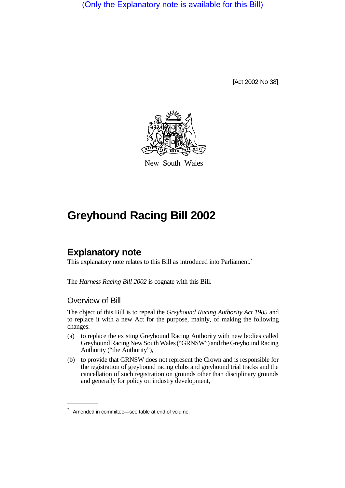(Only the Explanatory note is available for this Bill)

[Act 2002 No 38]



New South Wales

# **Greyhound Racing Bill 2002**

# **Explanatory note**

This explanatory note relates to this Bill as introduced into Parliament.<sup>\*</sup>

The *Harness Racing Bill 2002* is cognate with this Bill.

#### Overview of Bill

The object of this Bill is to repeal the *Greyhound Racing Authority Act 1985* and to replace it with a new Act for the purpose, mainly, of making the following changes:

- (a) to replace the existing Greyhound Racing Authority with new bodies called Greyhound Racing New South Wales ("GRNSW") and the Greyhound Racing Authority ("the Authority"),
- (b) to provide that GRNSW does not represent the Crown and is responsible for the registration of greyhound racing clubs and greyhound trial tracks and the cancellation of such registration on grounds other than disciplinary grounds and generally for policy on industry development,

Amended in committee—see table at end of volume.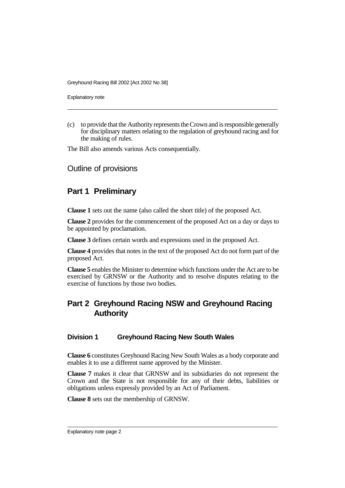Explanatory note

(c) to provide that the Authority represents the Crown and is responsible generally for disciplinary matters relating to the regulation of greyhound racing and for the making of rules.

The Bill also amends various Acts consequentially.

Outline of provisions

### **Part 1 Preliminary**

**Clause 1** sets out the name (also called the short title) of the proposed Act.

**Clause 2** provides for the commencement of the proposed Act on a day or days to be appointed by proclamation.

**Clause 3** defines certain words and expressions used in the proposed Act.

**Clause 4** provides that notes in the text of the proposed Act do not form part of the proposed Act.

**Clause 5** enables the Minister to determine which functions under the Act are to be exercised by GRNSW or the Authority and to resolve disputes relating to the exercise of functions by those two bodies.

# **Part 2 Greyhound Racing NSW and Greyhound Racing Authority**

#### **Division 1 Greyhound Racing New South Wales**

**Clause 6** constitutes Greyhound Racing New South Wales as a body corporate and enables it to use a different name approved by the Minister.

**Clause 7** makes it clear that GRNSW and its subsidiaries do not represent the Crown and the State is not responsible for any of their debts, liabilities or obligations unless expressly provided by an Act of Parliament.

**Clause 8** sets out the membership of GRNSW.

Explanatory note page 2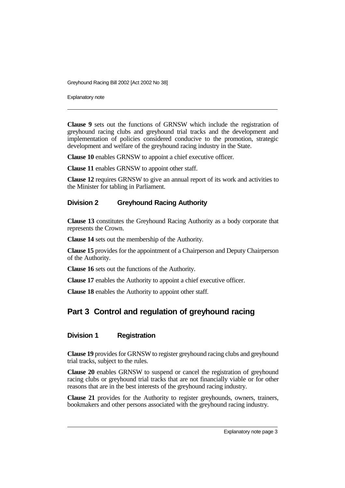Explanatory note

**Clause 9** sets out the functions of GRNSW which include the registration of greyhound racing clubs and greyhound trial tracks and the development and implementation of policies considered conducive to the promotion, strategic development and welfare of the greyhound racing industry in the State.

**Clause 10** enables GRNSW to appoint a chief executive officer.

**Clause 11** enables GRNSW to appoint other staff.

**Clause 12** requires GRNSW to give an annual report of its work and activities to the Minister for tabling in Parliament.

#### **Division 2 Greyhound Racing Authority**

**Clause 13** constitutes the Greyhound Racing Authority as a body corporate that represents the Crown.

**Clause 14** sets out the membership of the Authority.

**Clause 15** provides for the appointment of a Chairperson and Deputy Chairperson of the Authority.

**Clause 16** sets out the functions of the Authority.

**Clause 17** enables the Authority to appoint a chief executive officer.

**Clause 18** enables the Authority to appoint other staff.

### **Part 3 Control and regulation of greyhound racing**

#### **Division 1 Registration**

**Clause 19** provides for GRNSW to register greyhound racing clubs and greyhound trial tracks, subject to the rules.

**Clause 20** enables GRNSW to suspend or cancel the registration of greyhound racing clubs or greyhound trial tracks that are not financially viable or for other reasons that are in the best interests of the greyhound racing industry.

**Clause 21** provides for the Authority to register greyhounds, owners, trainers, bookmakers and other persons associated with the greyhound racing industry.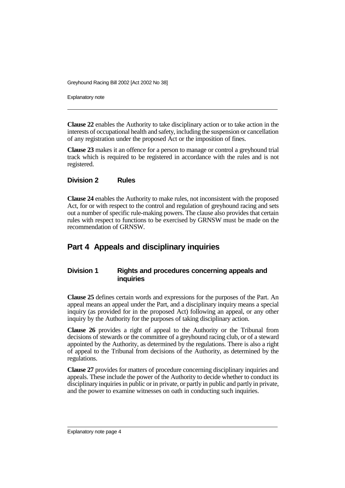Explanatory note

**Clause 22** enables the Authority to take disciplinary action or to take action in the interests of occupational health and safety, including the suspension or cancellation of any registration under the proposed Act or the imposition of fines.

**Clause 23** makes it an offence for a person to manage or control a greyhound trial track which is required to be registered in accordance with the rules and is not registered.

#### **Division 2 Rules**

**Clause 24** enables the Authority to make rules, not inconsistent with the proposed Act, for or with respect to the control and regulation of greyhound racing and sets out a number of specific rule-making powers. The clause also provides that certain rules with respect to functions to be exercised by GRNSW must be made on the recommendation of GRNSW.

### **Part 4 Appeals and disciplinary inquiries**

#### **Division 1 Rights and procedures concerning appeals and inquiries**

**Clause 25** defines certain words and expressions for the purposes of the Part. An appeal means an appeal under the Part, and a disciplinary inquiry means a special inquiry (as provided for in the proposed Act) following an appeal, or any other inquiry by the Authority for the purposes of taking disciplinary action.

**Clause 26** provides a right of appeal to the Authority or the Tribunal from decisions of stewards or the committee of a greyhound racing club, or of a steward appointed by the Authority, as determined by the regulations. There is also a right of appeal to the Tribunal from decisions of the Authority, as determined by the regulations.

**Clause 27** provides for matters of procedure concerning disciplinary inquiries and appeals. These include the power of the Authority to decide whether to conduct its disciplinary inquiries in public or in private, or partly in public and partly in private, and the power to examine witnesses on oath in conducting such inquiries.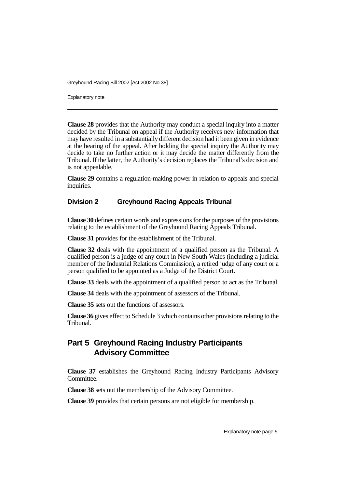Explanatory note

**Clause 28** provides that the Authority may conduct a special inquiry into a matter decided by the Tribunal on appeal if the Authority receives new information that may have resulted in a substantially different decision had it been given in evidence at the hearing of the appeal. After holding the special inquiry the Authority may decide to take no further action or it may decide the matter differently from the Tribunal. If the latter, the Authority's decision replaces the Tribunal's decision and is not appealable.

**Clause 29** contains a regulation-making power in relation to appeals and special inquiries.

#### **Division 2 Greyhound Racing Appeals Tribunal**

**Clause 30** defines certain words and expressions for the purposes of the provisions relating to the establishment of the Greyhound Racing Appeals Tribunal.

**Clause 31** provides for the establishment of the Tribunal.

**Clause 32** deals with the appointment of a qualified person as the Tribunal. A qualified person is a judge of any court in New South Wales (including a judicial member of the Industrial Relations Commission), a retired judge of any court or a person qualified to be appointed as a Judge of the District Court.

**Clause 33** deals with the appointment of a qualified person to act as the Tribunal.

**Clause 34** deals with the appointment of assessors of the Tribunal.

**Clause 35** sets out the functions of assessors.

**Clause 36** gives effect to Schedule 3 which contains other provisions relating to the Tribunal.

# **Part 5 Greyhound Racing Industry Participants Advisory Committee**

**Clause 37** establishes the Greyhound Racing Industry Participants Advisory Committee.

**Clause 38** sets out the membership of the Advisory Committee.

**Clause 39** provides that certain persons are not eligible for membership.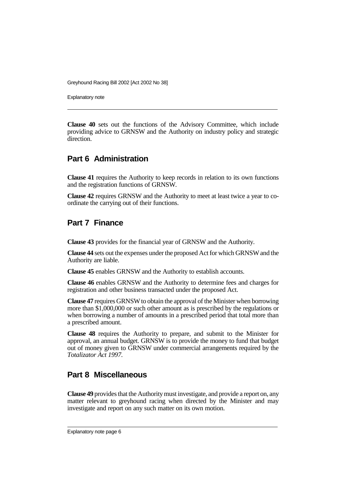Explanatory note

**Clause 40** sets out the functions of the Advisory Committee, which include providing advice to GRNSW and the Authority on industry policy and strategic direction

### **Part 6 Administration**

**Clause 41** requires the Authority to keep records in relation to its own functions and the registration functions of GRNSW.

**Clause 42** requires GRNSW and the Authority to meet at least twice a year to coordinate the carrying out of their functions.

### **Part 7 Finance**

**Clause 43** provides for the financial year of GRNSW and the Authority.

**Clause 44** sets out the expenses under the proposed Act for which GRNSW and the Authority are liable.

**Clause 45** enables GRNSW and the Authority to establish accounts.

**Clause 46** enables GRNSW and the Authority to determine fees and charges for registration and other business transacted under the proposed Act.

**Clause 47** requires GRNSW to obtain the approval of the Minister when borrowing more than \$1,000,000 or such other amount as is prescribed by the regulations or when borrowing a number of amounts in a prescribed period that total more than a prescribed amount.

**Clause 48** requires the Authority to prepare, and submit to the Minister for approval, an annual budget. GRNSW is to provide the money to fund that budget out of money given to GRNSW under commercial arrangements required by the *Totalizator Act 1997*.

### **Part 8 Miscellaneous**

**Clause 49** provides that the Authority must investigate, and provide a report on, any matter relevant to greyhound racing when directed by the Minister and may investigate and report on any such matter on its own motion.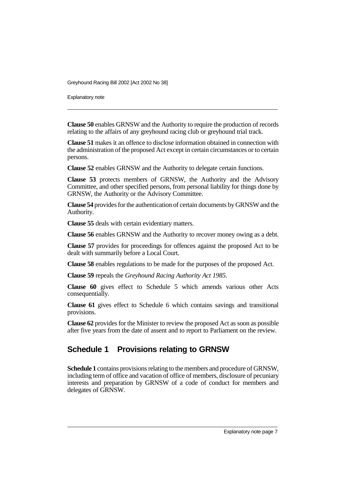Explanatory note

**Clause 50** enables GRNSW and the Authority to require the production of records relating to the affairs of any greyhound racing club or greyhound trial track.

**Clause 51** makes it an offence to disclose information obtained in connection with the administration of the proposed Act except in certain circumstances or to certain persons.

**Clause 52** enables GRNSW and the Authority to delegate certain functions.

**Clause 53** protects members of GRNSW, the Authority and the Advisory Committee, and other specified persons, from personal liability for things done by GRNSW, the Authority or the Advisory Committee.

**Clause 54** provides for the authentication of certain documents by GRNSW and the Authority.

**Clause 55** deals with certain evidentiary matters.

**Clause 56** enables GRNSW and the Authority to recover money owing as a debt.

**Clause 57** provides for proceedings for offences against the proposed Act to be dealt with summarily before a Local Court.

**Clause 58** enables regulations to be made for the purposes of the proposed Act.

**Clause 59** repeals the *Greyhound Racing Authority Act 1985*.

**Clause 60** gives effect to Schedule 5 which amends various other Acts consequentially.

**Clause 61** gives effect to Schedule 6 which contains savings and transitional provisions.

**Clause 62** provides for the Minister to review the proposed Act as soon as possible after five years from the date of assent and to report to Parliament on the review.

### **Schedule 1 Provisions relating to GRNSW**

**Schedule 1** contains provisions relating to the members and procedure of GRNSW, including term of office and vacation of office of members, disclosure of pecuniary interests and preparation by GRNSW of a code of conduct for members and delegates of GRNSW.